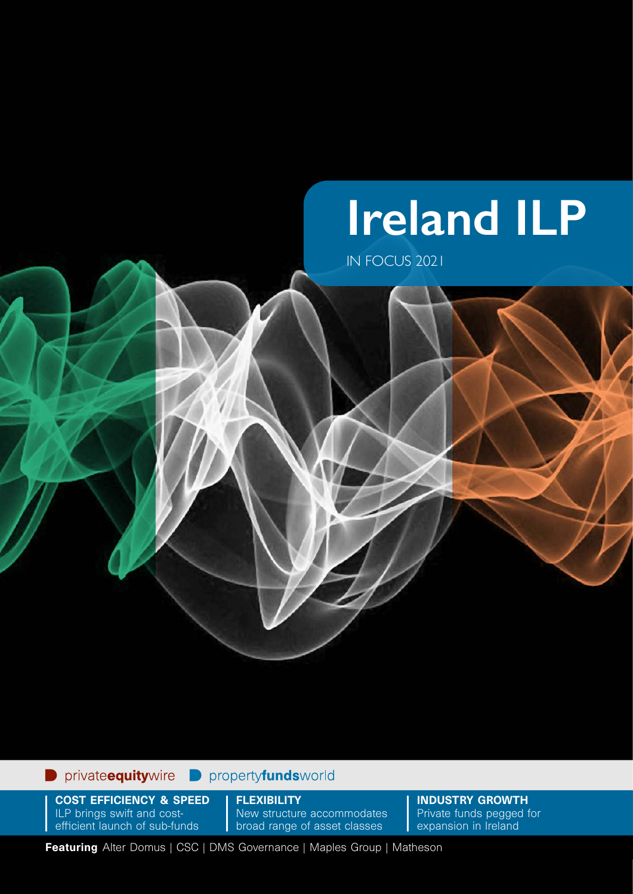# **Ireland ILP**

IN FOCUS 2021

#### privateequitywire propertyfundsworld

COST EFFICIENCY & SPEED ILP brings swift and costefficient launch of sub-funds

**FLEXIBILITY** New structure accommodates broad range of asset classes

INDUSTRY GROWTH Private funds pegged for expansion in Ireland

Featuring Alter Domus | CSC | DMS Governance | Maples Group | Matheson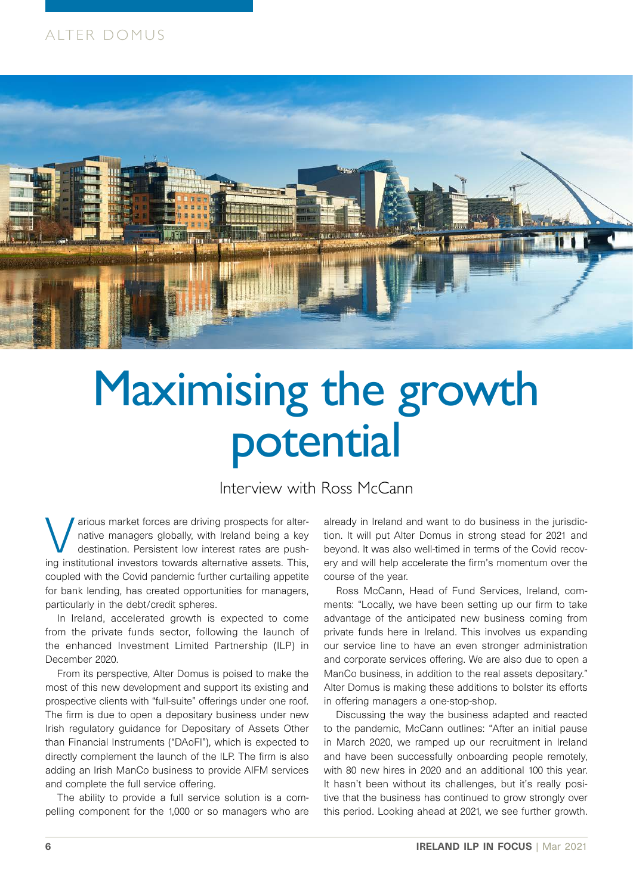### ALTER DOMUS



## Maximising the growth potential

Interview with Ross McCann

various market forces are driving prospects for alter-<br>
native managers globally, with Ireland being a key<br>
destination. Persistent low interest rates are push-<br>
ing institutional investors toughle alternative appets. This native managers globally, with Ireland being a key ing institutional investors towards alternative assets. This, coupled with the Covid pandemic further curtailing appetite for bank lending, has created opportunities for managers, particularly in the debt/credit spheres.

In Ireland, accelerated growth is expected to come from the private funds sector, following the launch of the enhanced Investment Limited Partnership (ILP) in December 2020.

From its perspective, Alter Domus is poised to make the most of this new development and support its existing and prospective clients with "full-suite" offerings under one roof. The firm is due to open a depositary business under new Irish regulatory guidance for Depositary of Assets Other than Financial Instruments ("DAoFI"), which is expected to directly complement the launch of the ILP. The firm is also adding an Irish ManCo business to provide AIFM services and complete the full service offering.

The ability to provide a full service solution is a compelling component for the 1,000 or so managers who are

already in Ireland and want to do business in the jurisdiction. It will put Alter Domus in strong stead for 2021 and beyond. It was also well-timed in terms of the Covid recovery and will help accelerate the firm's momentum over the course of the year.

Ross McCann, Head of Fund Services, Ireland, comments: "Locally, we have been setting up our firm to take advantage of the anticipated new business coming from private funds here in Ireland. This involves us expanding our service line to have an even stronger administration and corporate services offering. We are also due to open a ManCo business, in addition to the real assets depositary." Alter Domus is making these additions to bolster its efforts in offering managers a one-stop-shop.

Discussing the way the business adapted and reacted to the pandemic, McCann outlines: "After an initial pause in March 2020, we ramped up our recruitment in Ireland and have been successfully onboarding people remotely, with 80 new hires in 2020 and an additional 100 this year. It hasn't been without its challenges, but it's really positive that the business has continued to grow strongly over this period. Looking ahead at 2021, we see further growth.